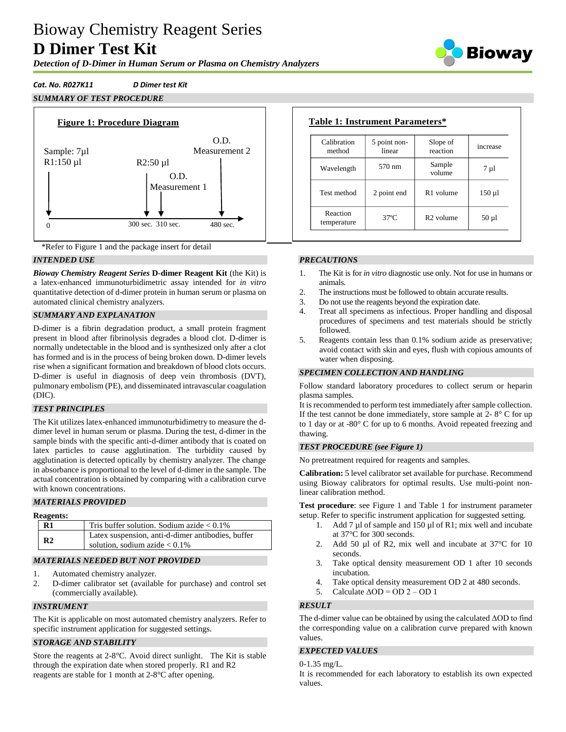# Bioway Chemistry Reagent Series **D Dimer Test Kit**

*Detection of D-Dimer in Human Serum or Plasma on Chemistry Analyzers*



## *Cat. No. R027K11 D Dimer test Kit*

# *SUMMARY OF TEST PROCEDURE*





### *INTENDED USE*

*Bioway Chemistry Reagent Series* **D-dimer Reagent Kit** (the Kit) is a latex-enhanced immunoturbidimetric assay intended for *in vitro* quantitative detection of d-dimer protein in human serum or plasma on automated clinical chemistry analyzers.

## *SUMMARY AND EXPLANATION*

D-dimer is a fibrin degradation product, a small protein fragment present in blood after fibrinolysis degrades a blood clot. D-dimer is normally undetectable in the blood and is synthesized only after a clot has formed and is in the process of being broken down. D-dimer levels rise when a significant formation and breakdown of blood clots occurs. D-dimer is useful in diagnosis of deep vein thrombosis (DVT), pulmonary embolism (PE), and disseminated intravascular coagulation (DIC).

### *TEST PRINCIPLES*

The Kit utilizes latex-enhanced immunoturbidimetry to measure the ddimer level in human serum or plasma. During the test, d-dimer in the sample binds with the specific anti-d-dimer antibody that is coated on latex particles to cause agglutination. The turbidity caused by agglutination is detected optically by chemistry analyzer. The change in absorbance is proportional to the level of d-dimer in the sample. The actual concentration is obtained by comparing with a calibration curve with known concentrations.

### *MATERIALS PROVIDED*

#### **Reagents:**

| R1             | Tris buffer solution. Sodium azide $< 0.1\%$                                          |
|----------------|---------------------------------------------------------------------------------------|
| R <sub>2</sub> | Latex suspension, anti-d-dimer antibodies, buffer<br>solution, sodium azide $< 0.1\%$ |

### *MATERIALS NEEDED BUT NOT PROVIDED*

- 1. Automated chemistry analyzer.
- 2. D-dimer calibrator set (available for purchase) and control set (commercially available).

### *INSTRUMENT*

The Kit is applicable on most automated chemistry analyzers. Refer to specific instrument application for suggested settings.

### *STORAGE AND STABILITY*

Store the reagents at 2-8°C. Avoid direct sunlight. The Kit is stable through the expiration date when stored properly. R1 and R2 reagents are stable for 1 month at 2-8°C after opening.

| Calibration<br>method   | 5 point non-<br>linear | Slope of<br>reaction  | increase    |
|-------------------------|------------------------|-----------------------|-------------|
| Wavelength              | 570 nm                 | Sample<br>volume      | $7 \mu l$   |
| Test method             | 2 point end            | R <sub>1</sub> volume | $150 \mu$ l |
| Reaction<br>temperature | $37^\circ$ C           | R <sub>2</sub> volume | $50 \mu l$  |

## *PRECAUTIONS*

- 1. The Kit is for *in vitro* diagnostic use only. Not for use in humans or animals.
- 2. The instructions must be followed to obtain accurate results.
- 3. Do not use the reagents beyond the expiration date.
- 4. Treat all specimens as infectious. Proper handling and disposal procedures of specimens and test materials should be strictly followed.
- 5. Reagents contain less than 0.1% sodium azide as preservative; avoid contact with skin and eyes, flush with copious amounts of water when disposing.

### *SPECIMEN COLLECTION AND HANDLING*

Follow standard laboratory procedures to collect serum or heparin plasma samples.

It is recommended to perform test immediately after sample collection. If the test cannot be done immediately, store sample at  $2 - 8^\circ$  C for up to 1 day or at -80° C for up to 6 months. Avoid repeated freezing and thawing.

### *TEST PROCEDURE (see Figure 1)*

No pretreatment required for reagents and samples.

**Calibration:** 5 level calibrator set available for purchase. Recommend using Bioway calibrators for optimal results. Use multi-point nonlinear calibration method.

**Test procedure**: see Figure 1 and Table 1 for instrument parameter setup. Refer to specific instrument application for suggested setting.

- 1. Add 7 µl of sample and 150 µl of R1; mix well and incubate at 37°C for 300 seconds.
- 2. Add 50 µl of R2, mix well and incubate at 37<sup>o</sup>C for 10 seconds.
- 3. Take optical density measurement OD 1 after 10 seconds incubation.
- 4. Take optical density measurement OD 2 at 480 seconds.
- 5. Calculate  $\Delta$ OD = OD 2 OD 1

## *RESULT*

The d-dimer value can be obtained by using the calculated ΔOD to find the corresponding value on a calibration curve prepared with known values.

## *EXPECTED VALUES*

0-1.35 mg/L.

It is recommended for each laboratory to establish its own expected values.